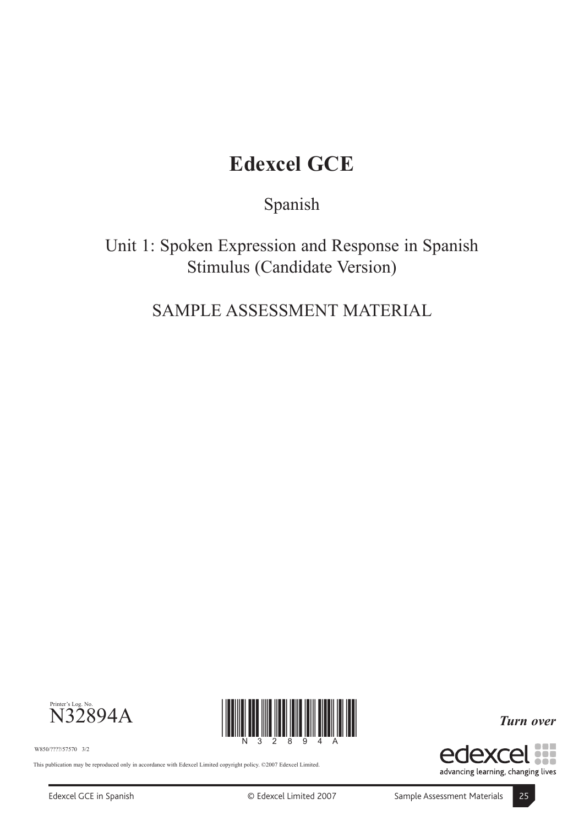# **Edexcel GCE**

Spanish

Unit 1: Spoken Expression and Response in Spanish Stimulus (Candidate Version)

SAMPLE ASSESSMENT MATERIAL



W850/????/57570 3/2

This publication may be reproduced only in accordance with Edexcel Limited copyright policy. ©2007 Edexcel Limited.

88 edexd

*Turn over*

advancing learning, changing lives

<u>\*N32894A\*N32894A\*N</u>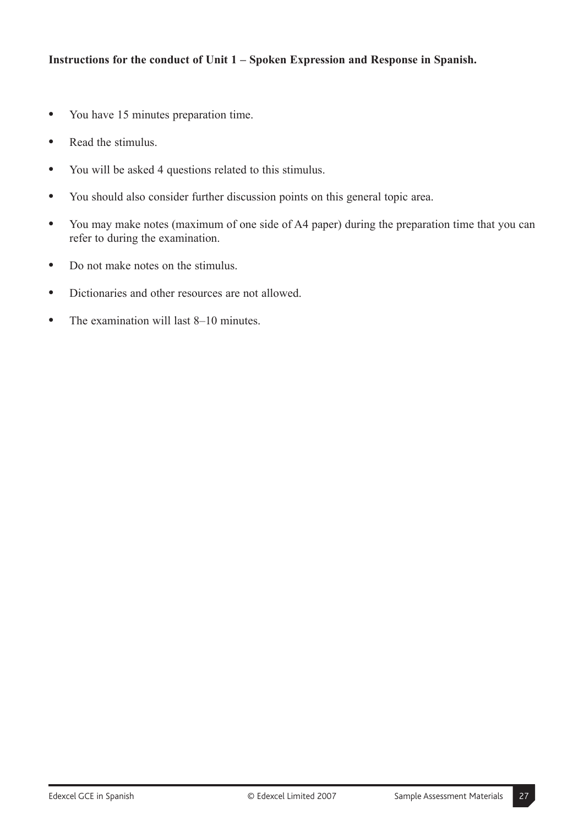- **"** You have 15 minutes preparation time.
- **"** Read the stimulus.
- **"** You will be asked 4 questions related to this stimulus.
- **"** You should also consider further discussion points on this general topic area.
- **"** You may make notes (maximum of one side of A4 paper) during the preparation time that you can refer to during the examination.
- **"** Do not make notes on the stimulus.
- **"** Dictionaries and other resources are not allowed.
- The examination will last 8–10 minutes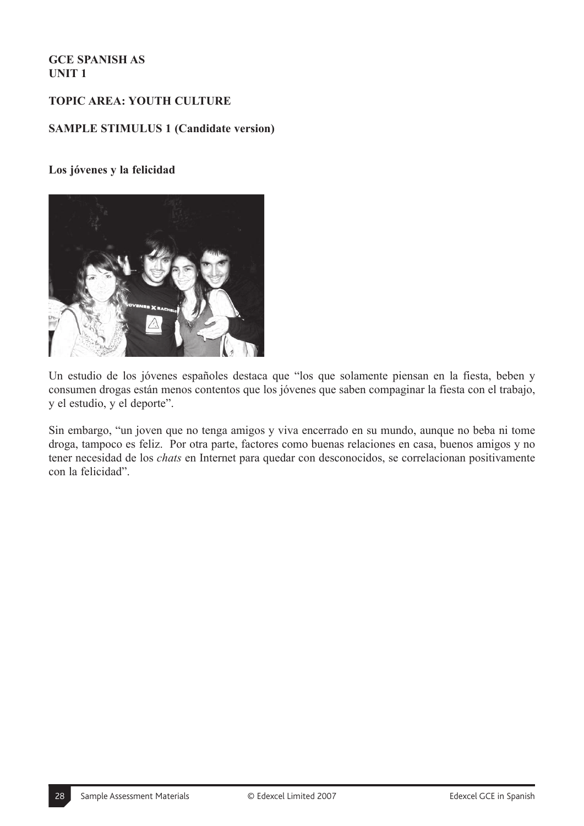# **TOPIC AREA: YOUTH CULTURE**

#### **SAMPLE STIMULUS 1 (Candidate version)**

#### **Los jóvenes y la felicidad**



Un estudio de los jóvenes españoles destaca que "los que solamente piensan en la fiesta, beben y consumen drogas están menos contentos que los jóvenes que saben compaginar la fiesta con el trabajo, y el estudio, y el deporte".

Sin embargo, "un joven que no tenga amigos y viva encerrado en su mundo, aunque no beba ni tome droga, tampoco es feliz. Por otra parte, factores como buenas relaciones en casa, buenos amigos y no tener necesidad de los *chats* en Internet para quedar con desconocidos, se correlacionan positivamente con la felicidad".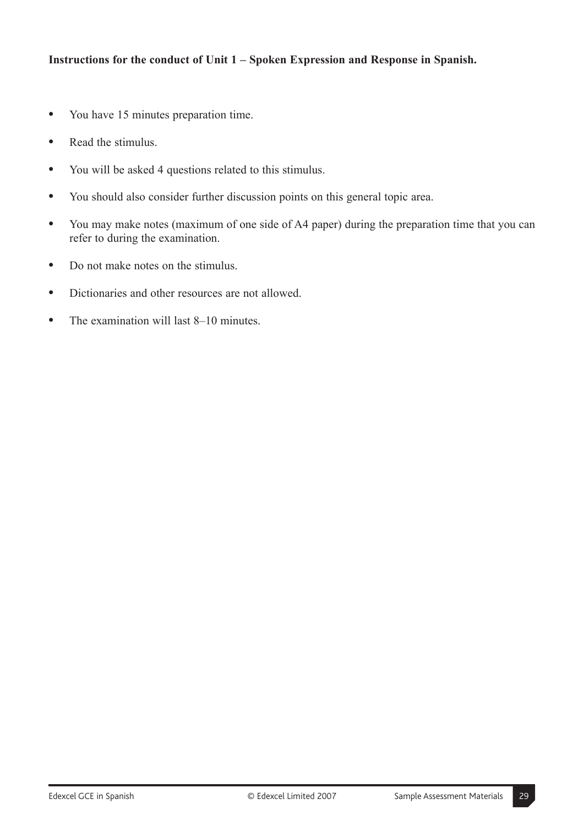- **"** You have 15 minutes preparation time.
- **"** Read the stimulus.
- **"** You will be asked 4 questions related to this stimulus.
- **"** You should also consider further discussion points on this general topic area.
- **"** You may make notes (maximum of one side of A4 paper) during the preparation time that you can refer to during the examination.
- **"** Do not make notes on the stimulus.
- **"** Dictionaries and other resources are not allowed.
- The examination will last 8–10 minutes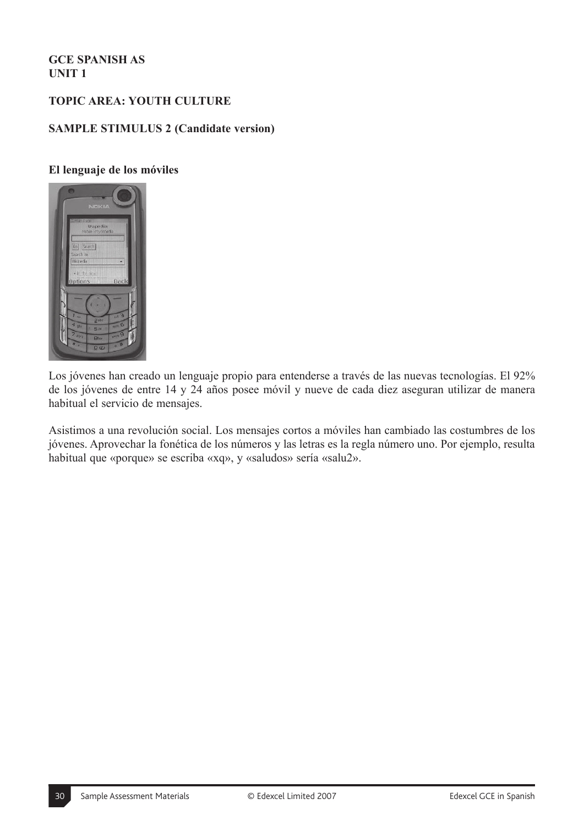# **TOPIC AREA: YOUTH CULTURE**

#### **SAMPLE STIMULUS 2 (Candidate version)**

#### **El lenguaje de los móviles**



Los jóvenes han creado un lenguaje propio para entenderse a través de las nuevas tecnologías. El 92% de los jóvenes de entre 14 y 24 años posee móvil y nueve de cada diez aseguran utilizar de manera habitual el servicio de mensajes.

Asistimos a una revolución social. Los mensajes cortos a móviles han cambiado las costumbres de los jóvenes. Aprovechar la fonética de los números y las letras es la regla número uno. Por ejemplo, resulta habitual que «porque» se escriba «xq», y «saludos» sería «salu2».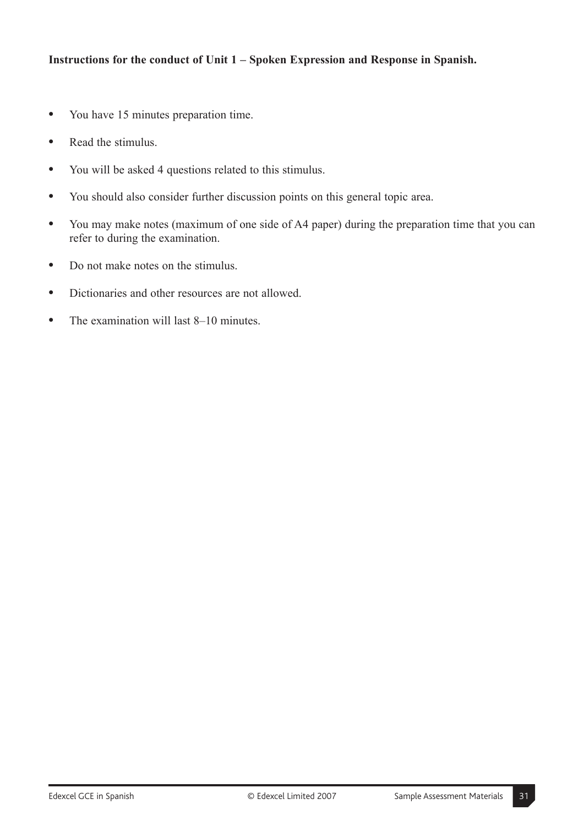- **"** You have 15 minutes preparation time.
- **"** Read the stimulus.
- **"** You will be asked 4 questions related to this stimulus.
- **"** You should also consider further discussion points on this general topic area.
- **"** You may make notes (maximum of one side of A4 paper) during the preparation time that you can refer to during the examination.
- **"** Do not make notes on the stimulus.
- **"** Dictionaries and other resources are not allowed.
- The examination will last 8–10 minutes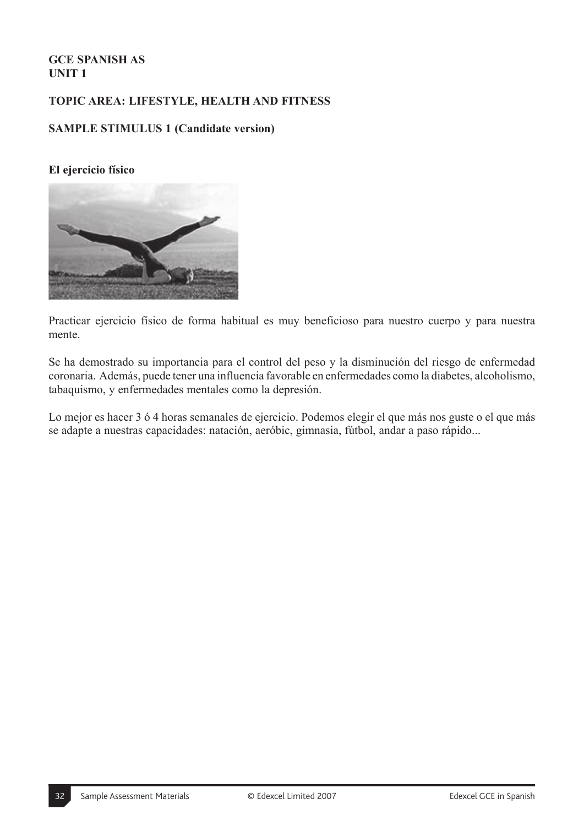# **TOPIC AREA: LIFESTYLE, HEALTH AND FITNESS**

#### **SAMPLE STIMULUS 1 (Candidate version)**

#### **El ejercicio físico**



Practicar ejercicio físico de forma habitual es muy beneficioso para nuestro cuerpo y para nuestra mente.

Se ha demostrado su importancia para el control del peso y la disminución del riesgo de enfermedad coronaria. Además, puede tener una influencia favorable en enfermedades como la diabetes, alcoholismo, tabaquismo, y enfermedades mentales como la depresión.

Lo mejor es hacer 3 ó 4 horas semanales de ejercicio. Podemos elegir el que más nos guste o el que más se adapte a nuestras capacidades: natación, aeróbic, gimnasia, fútbol, andar a paso rápido...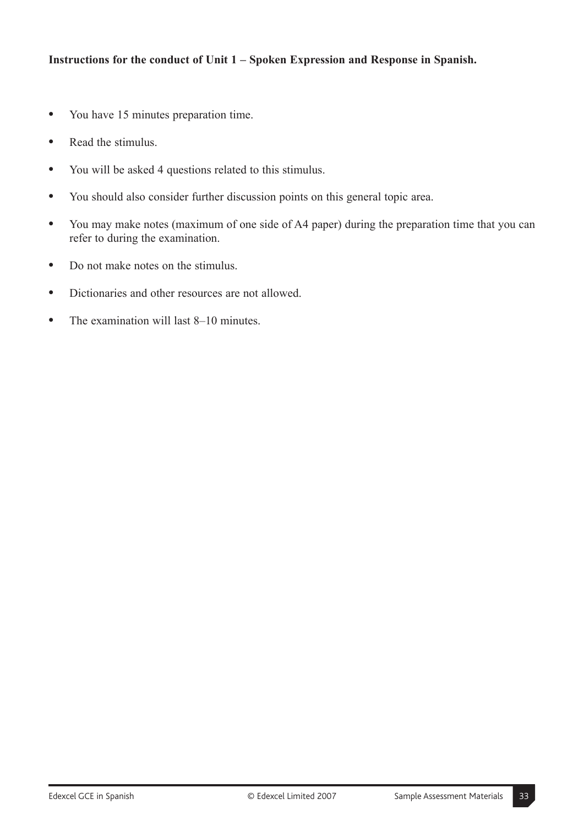- **"** You have 15 minutes preparation time.
- **"** Read the stimulus.
- **"** You will be asked 4 questions related to this stimulus.
- **"** You should also consider further discussion points on this general topic area.
- **"** You may make notes (maximum of one side of A4 paper) during the preparation time that you can refer to during the examination.
- **"** Do not make notes on the stimulus.
- **"** Dictionaries and other resources are not allowed.
- The examination will last 8–10 minutes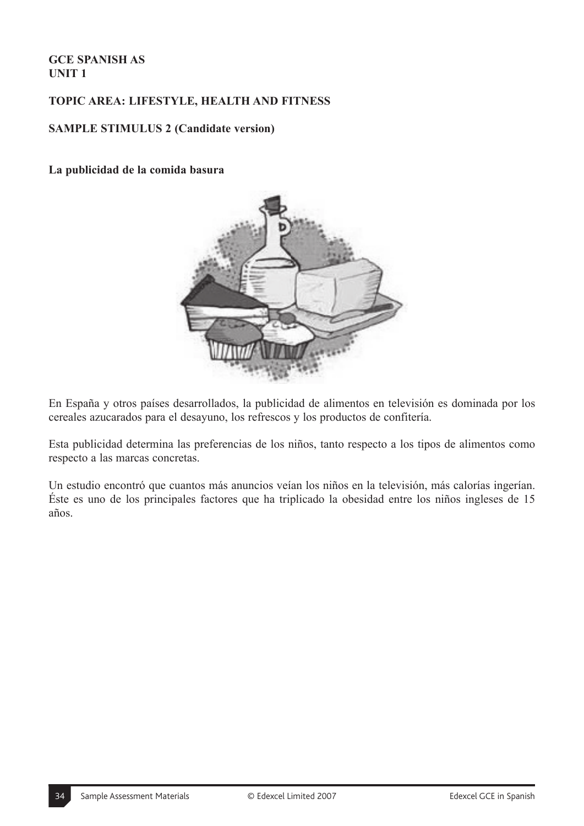# **TOPIC AREA: LIFESTYLE, HEALTH AND FITNESS**

#### **SAMPLE STIMULUS 2 (Candidate version)**

#### **La publicidad de la comida basura**



En España y otros países desarrollados, la publicidad de alimentos en televisión es dominada por los cereales azucarados para el desayuno, los refrescos y los productos de confitería.

Esta publicidad determina las preferencias de los niños, tanto respecto a los tipos de alimentos como respecto a las marcas concretas.

Un estudio encontró que cuantos más anuncios veían los niños en la televisión, más calorías ingerían. Éste es uno de los principales factores que ha triplicado la obesidad entre los niños ingleses de 15 años.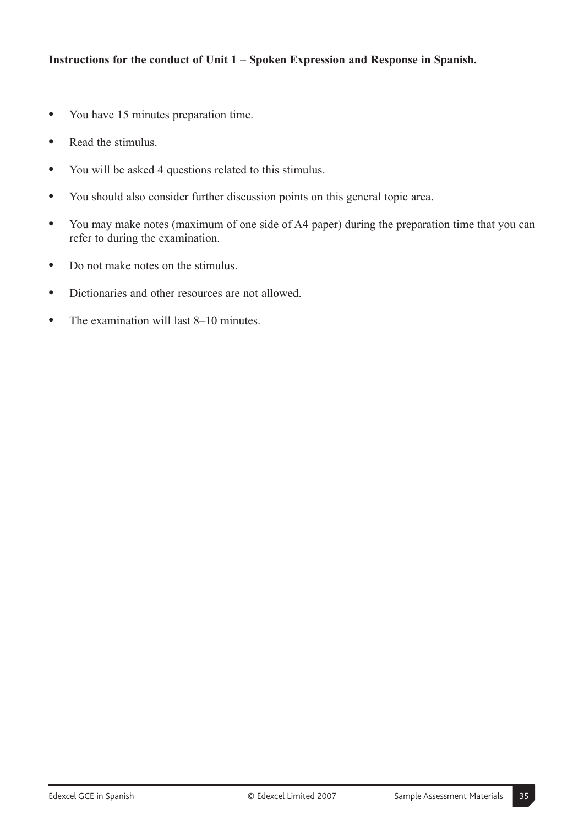- **"** You have 15 minutes preparation time.
- **"** Read the stimulus.
- **"** You will be asked 4 questions related to this stimulus.
- **"** You should also consider further discussion points on this general topic area.
- **"** You may make notes (maximum of one side of A4 paper) during the preparation time that you can refer to during the examination.
- **"** Do not make notes on the stimulus.
- **"** Dictionaries and other resources are not allowed.
- The examination will last 8–10 minutes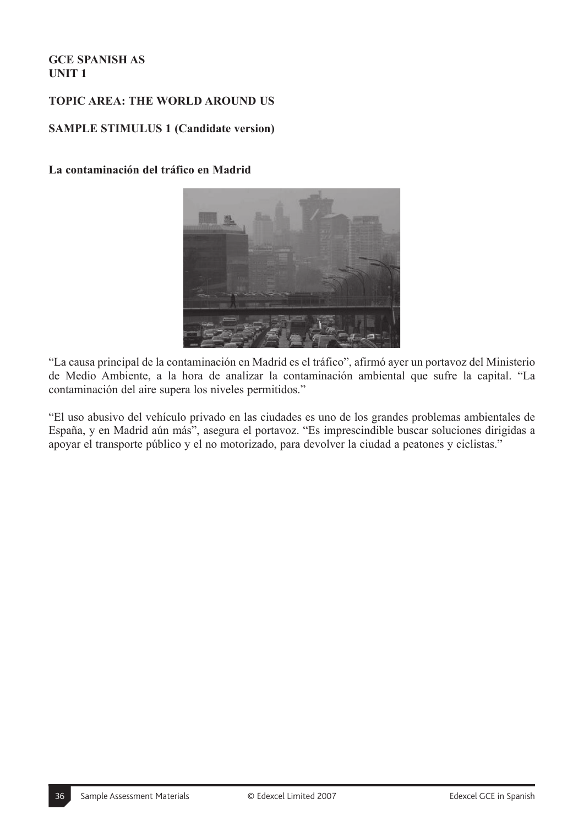# **TOPIC AREA: THE WORLD AROUND US**

#### **SAMPLE STIMULUS 1 (Candidate version)**

#### **La contaminación del tráfico en Madrid**



"La causa principal de la contaminación en Madrid es el tráfico", afirmó ayer un portavoz del Ministerio de Medio Ambiente, a la hora de analizar la contaminación ambiental que sufre la capital. "La contaminación del aire supera los niveles permitidos."

"El uso abusivo del vehículo privado en las ciudades es uno de los grandes problemas ambientales de España, y en Madrid aún más", asegura el portavoz. "Es imprescindible buscar soluciones dirigidas a apoyar el transporte público y el no motorizado, para devolver la ciudad a peatones y ciclistas."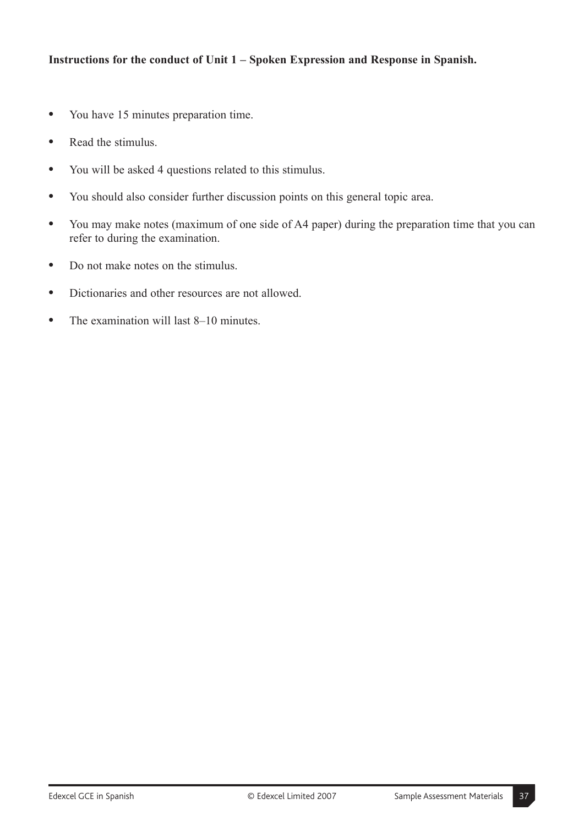- **"** You have 15 minutes preparation time.
- **"** Read the stimulus.
- **"** You will be asked 4 questions related to this stimulus.
- **"** You should also consider further discussion points on this general topic area.
- **"** You may make notes (maximum of one side of A4 paper) during the preparation time that you can refer to during the examination.
- **"** Do not make notes on the stimulus.
- **"** Dictionaries and other resources are not allowed.
- The examination will last 8–10 minutes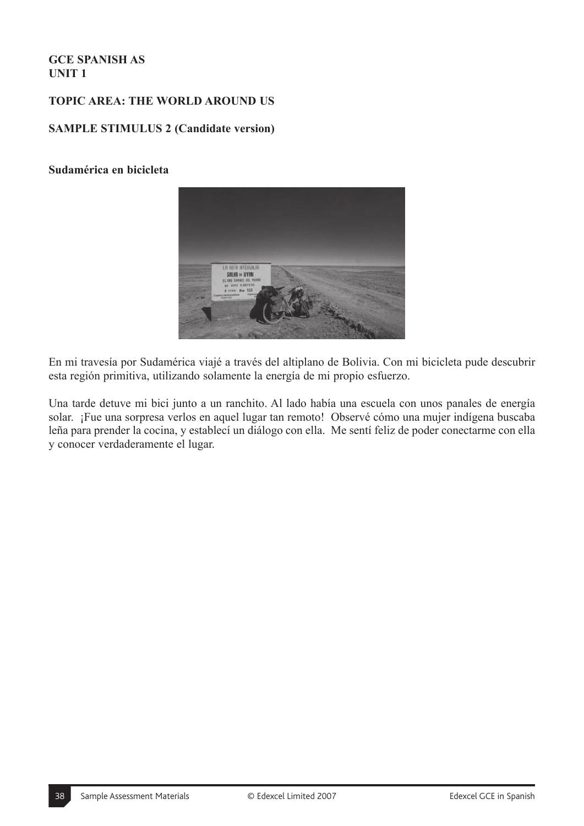# **TOPIC AREA: THE WORLD AROUND US**

#### **SAMPLE STIMULUS 2 (Candidate version)**

#### **Sudamérica en bicicleta**



En mi travesía por Sudamérica viajé a través del altiplano de Bolivia. Con mi bicicleta pude descubrir esta región primitiva, utilizando solamente la energía de mi propio esfuerzo.

Una tarde detuve mi bici junto a un ranchito. Al lado había una escuela con unos panales de energía solar. ¡Fue una sorpresa verlos en aquel lugar tan remoto! Observé cómo una mujer indígena buscaba leña para prender la cocina, y establecí un diálogo con ella. Me sentí feliz de poder conectarme con ella y conocer verdaderamente el lugar.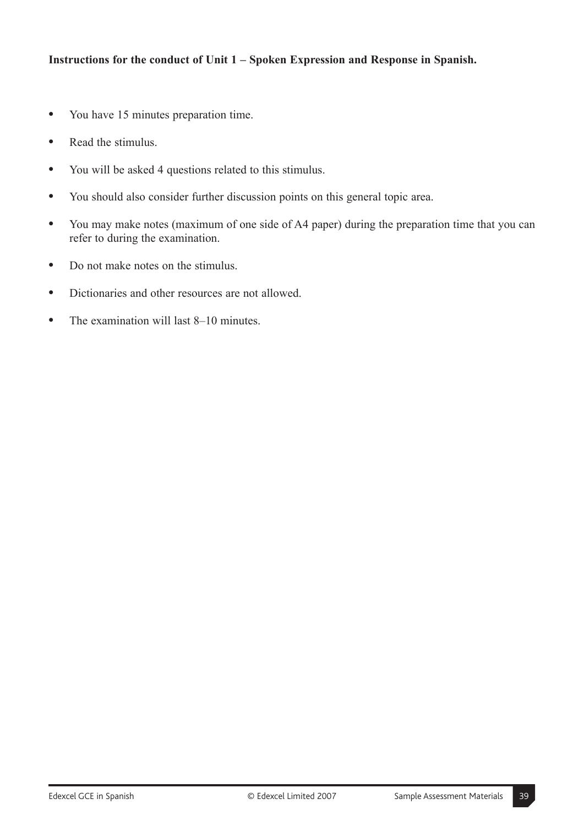- **"** You have 15 minutes preparation time.
- **"** Read the stimulus.
- **"** You will be asked 4 questions related to this stimulus.
- **"** You should also consider further discussion points on this general topic area.
- **"** You may make notes (maximum of one side of A4 paper) during the preparation time that you can refer to during the examination.
- **"** Do not make notes on the stimulus.
- **"** Dictionaries and other resources are not allowed.
- The examination will last 8–10 minutes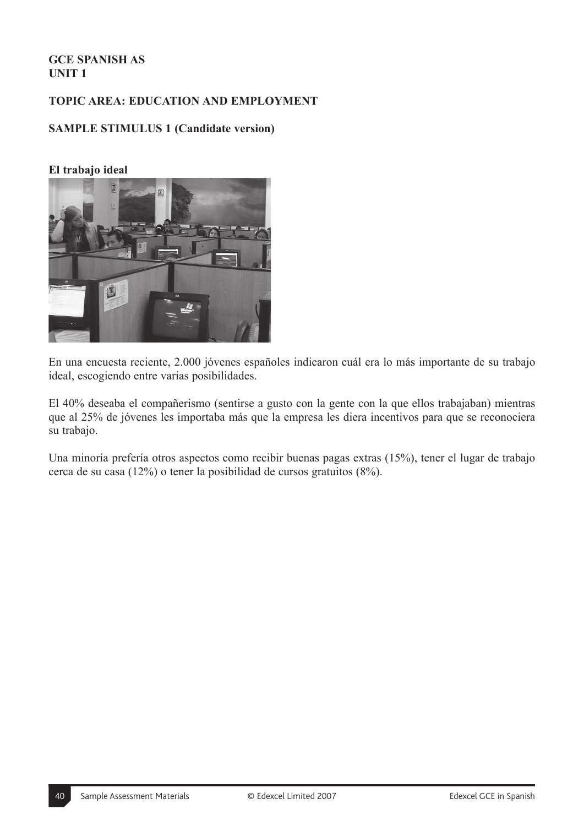# **TOPIC AREA: EDUCATION AND EMPLOYMENT**

# **SAMPLE STIMULUS 1 (Candidate version)**

#### **El trabajo ideal**



En una encuesta reciente, 2.000 jóvenes españoles indicaron cuál era lo más importante de su trabajo ideal, escogiendo entre varias posibilidades.

El 40% deseaba el compañerismo (sentirse a gusto con la gente con la que ellos trabajaban) mientras que al 25% de jóvenes les importaba más que la empresa les diera incentivos para que se reconociera su trabajo.

Una minoría prefería otros aspectos como recibir buenas pagas extras (15%), tener el lugar de trabajo cerca de su casa (12%) o tener la posibilidad de cursos gratuitos (8%).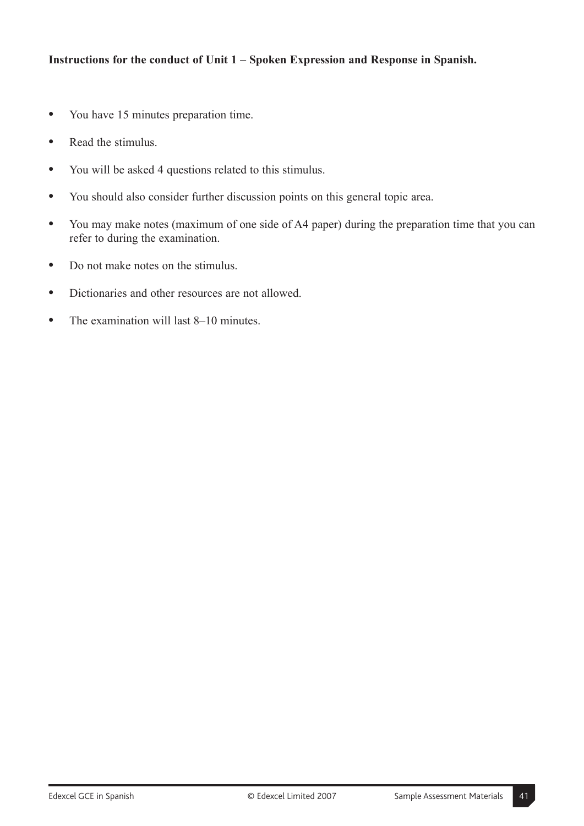- **"** You have 15 minutes preparation time.
- **"** Read the stimulus.
- **"** You will be asked 4 questions related to this stimulus.
- **"** You should also consider further discussion points on this general topic area.
- **"** You may make notes (maximum of one side of A4 paper) during the preparation time that you can refer to during the examination.
- **"** Do not make notes on the stimulus.
- **"** Dictionaries and other resources are not allowed.
- The examination will last 8–10 minutes